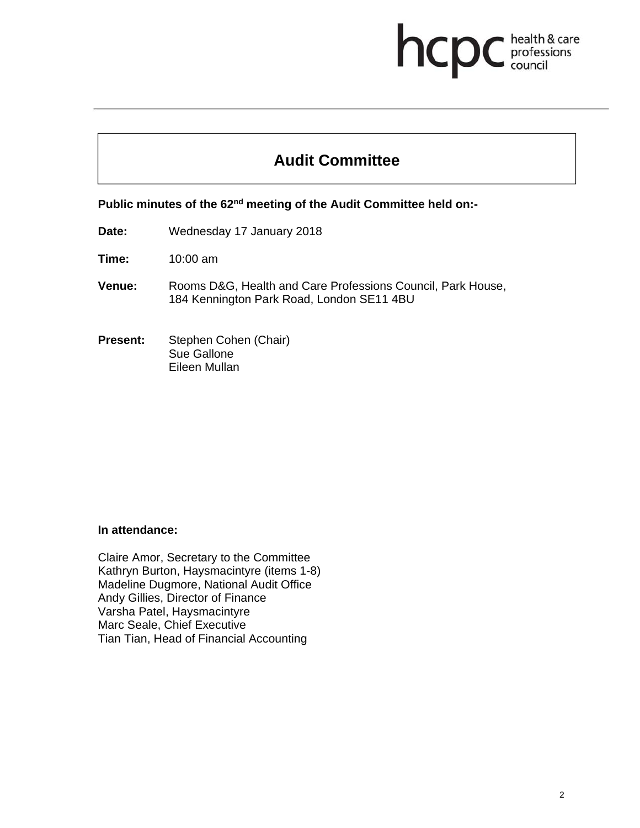# health & care hcpc professions<br>council

# **Audit Committee**

Public minutes of the 62<sup>nd</sup> meeting of the Audit Committee held on:-

- **Date:** Wednesday 17 January 2018
- **Time:** 10:00 am
- **Venue:** Rooms D&G, Health and Care Professions Council, Park House, 184 Kennington Park Road, London SE11 4BU
- **Present:** Stephen Cohen (Chair) Sue Gallone Eileen Mullan

#### **In attendance:**

Claire Amor, Secretary to the Committee Kathryn Burton, Haysmacintyre (items 1-8) Madeline Dugmore, National Audit Office Andy Gillies, Director of Finance Varsha Patel, Haysmacintyre Marc Seale, Chief Executive Tian Tian, Head of Financial Accounting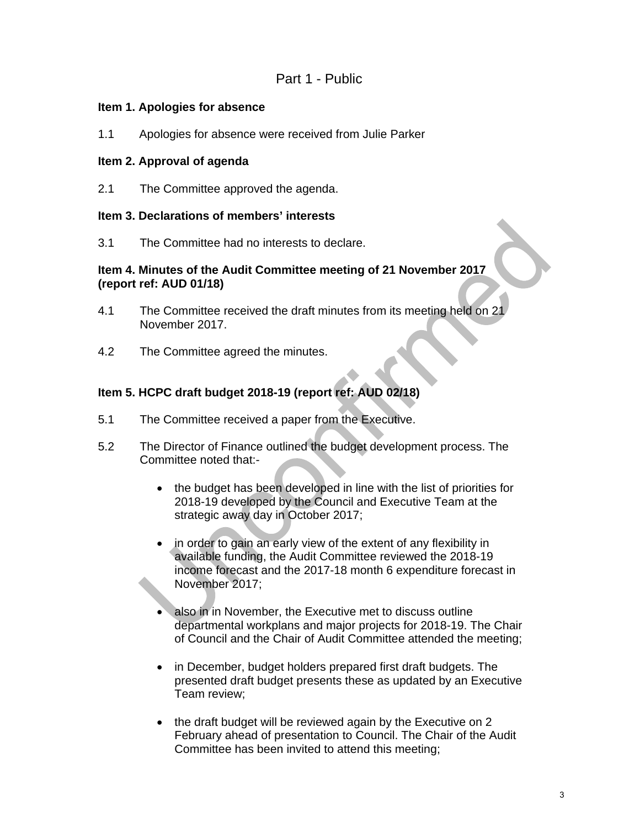### Part 1 - Public

#### **Item 1. Apologies for absence**

1.1 Apologies for absence were received from Julie Parker

#### **Item 2. Approval of agenda**

2.1 The Committee approved the agenda.

#### **Item 3. Declarations of members' interests**

3.1 The Committee had no interests to declare.

#### **Item 4. Minutes of the Audit Committee meeting of 21 November 2017 (report ref: AUD 01/18)**

- 4.1 The Committee received the draft minutes from its meeting held on 21 November 2017.
- 4.2 The Committee agreed the minutes.

#### **Item 5. HCPC draft budget 2018-19 (report ref: AUD 02/18)**

- 5.1 The Committee received a paper from the Executive.
- 5.2 The Director of Finance outlined the budget development process. The Committee noted that:
	- the budget has been developed in line with the list of priorities for 2018-19 developed by the Council and Executive Team at the strategic away day in October 2017;
	- in order to gain an early view of the extent of any flexibility in available funding, the Audit Committee reviewed the 2018-19 income forecast and the 2017-18 month 6 expenditure forecast in November 2017;
	- also in in November, the Executive met to discuss outline departmental workplans and major projects for 2018-19. The Chair of Council and the Chair of Audit Committee attended the meeting;
	- in December, budget holders prepared first draft budgets. The presented draft budget presents these as updated by an Executive Team review;
	- the draft budget will be reviewed again by the Executive on 2 February ahead of presentation to Council. The Chair of the Audit Committee has been invited to attend this meeting;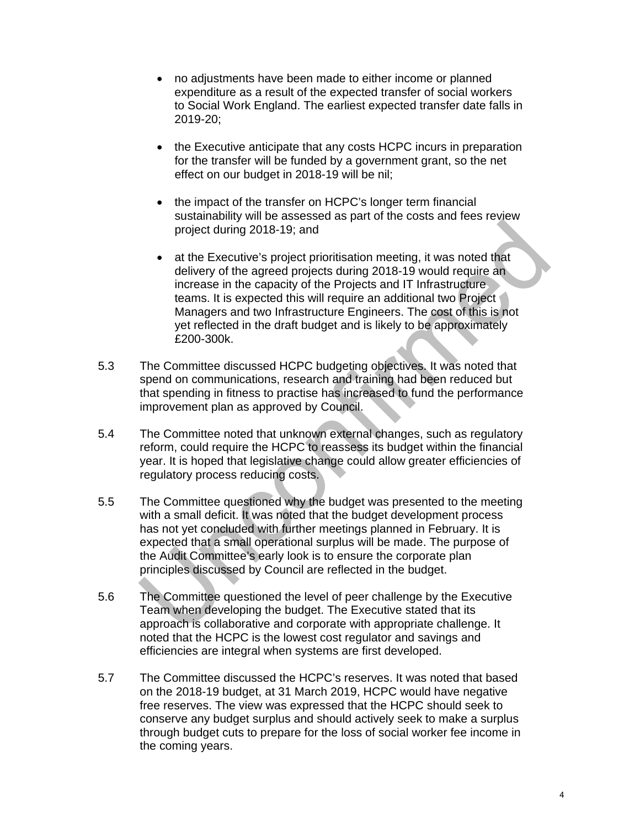- no adjustments have been made to either income or planned expenditure as a result of the expected transfer of social workers to Social Work England. The earliest expected transfer date falls in 2019-20;
- the Executive anticipate that any costs HCPC incurs in preparation for the transfer will be funded by a government grant, so the net effect on our budget in 2018-19 will be nil;
- the impact of the transfer on HCPC's longer term financial sustainability will be assessed as part of the costs and fees review project during 2018-19; and
- at the Executive's project prioritisation meeting, it was noted that delivery of the agreed projects during 2018-19 would require an increase in the capacity of the Projects and IT Infrastructure teams. It is expected this will require an additional two Project Managers and two Infrastructure Engineers. The cost of this is not yet reflected in the draft budget and is likely to be approximately £200-300k.
- 5.3 The Committee discussed HCPC budgeting objectives. It was noted that spend on communications, research and training had been reduced but that spending in fitness to practise has increased to fund the performance improvement plan as approved by Council.
- 5.4 The Committee noted that unknown external changes, such as regulatory reform, could require the HCPC to reassess its budget within the financial year. It is hoped that legislative change could allow greater efficiencies of regulatory process reducing costs.
- 5.5 The Committee questioned why the budget was presented to the meeting with a small deficit. It was noted that the budget development process has not yet concluded with further meetings planned in February. It is expected that a small operational surplus will be made. The purpose of the Audit Committee's early look is to ensure the corporate plan principles discussed by Council are reflected in the budget.
- 5.6 The Committee questioned the level of peer challenge by the Executive Team when developing the budget. The Executive stated that its approach is collaborative and corporate with appropriate challenge. It noted that the HCPC is the lowest cost regulator and savings and efficiencies are integral when systems are first developed.
- 5.7 The Committee discussed the HCPC's reserves. It was noted that based on the 2018-19 budget, at 31 March 2019, HCPC would have negative free reserves. The view was expressed that the HCPC should seek to conserve any budget surplus and should actively seek to make a surplus through budget cuts to prepare for the loss of social worker fee income in the coming years.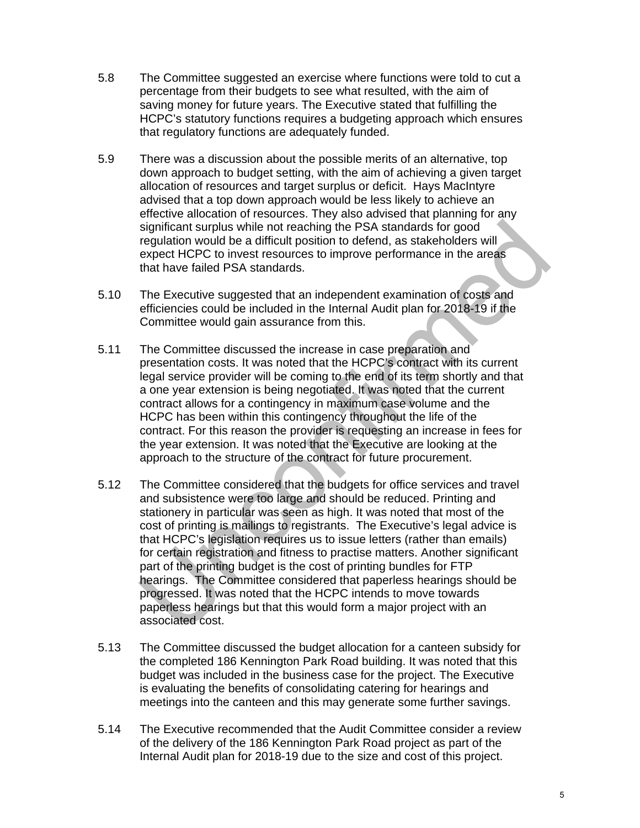- 5.8 The Committee suggested an exercise where functions were told to cut a percentage from their budgets to see what resulted, with the aim of saving money for future years. The Executive stated that fulfilling the HCPC's statutory functions requires a budgeting approach which ensures that regulatory functions are adequately funded.
- 5.9 There was a discussion about the possible merits of an alternative, top down approach to budget setting, with the aim of achieving a given target allocation of resources and target surplus or deficit. Hays MacIntyre advised that a top down approach would be less likely to achieve an effective allocation of resources. They also advised that planning for any significant surplus while not reaching the PSA standards for good regulation would be a difficult position to defend, as stakeholders will expect HCPC to invest resources to improve performance in the areas that have failed PSA standards.
- 5.10 The Executive suggested that an independent examination of costs and efficiencies could be included in the Internal Audit plan for 2018-19 if the Committee would gain assurance from this.
- 5.11 The Committee discussed the increase in case preparation and presentation costs. It was noted that the HCPC's contract with its current legal service provider will be coming to the end of its term shortly and that a one year extension is being negotiated. It was noted that the current contract allows for a contingency in maximum case volume and the HCPC has been within this contingency throughout the life of the contract. For this reason the provider is requesting an increase in fees for the year extension. It was noted that the Executive are looking at the approach to the structure of the contract for future procurement.
- 5.12 The Committee considered that the budgets for office services and travel and subsistence were too large and should be reduced. Printing and stationery in particular was seen as high. It was noted that most of the cost of printing is mailings to registrants. The Executive's legal advice is that HCPC's legislation requires us to issue letters (rather than emails) for certain registration and fitness to practise matters. Another significant part of the printing budget is the cost of printing bundles for FTP hearings. The Committee considered that paperless hearings should be progressed. It was noted that the HCPC intends to move towards paperless hearings but that this would form a major project with an associated cost.
- 5.13 The Committee discussed the budget allocation for a canteen subsidy for the completed 186 Kennington Park Road building. It was noted that this budget was included in the business case for the project. The Executive is evaluating the benefits of consolidating catering for hearings and meetings into the canteen and this may generate some further savings.
- 5.14 The Executive recommended that the Audit Committee consider a review of the delivery of the 186 Kennington Park Road project as part of the Internal Audit plan for 2018-19 due to the size and cost of this project.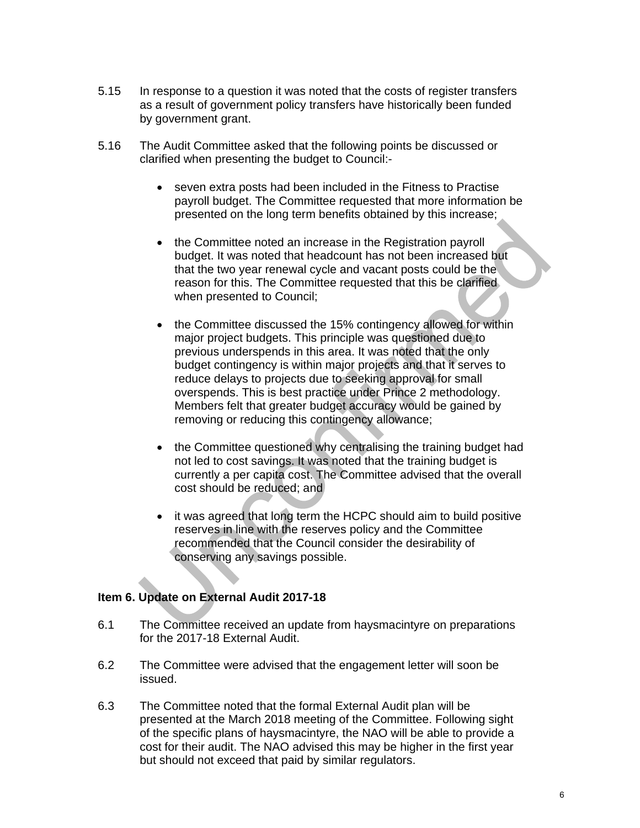- 5.15 In response to a question it was noted that the costs of register transfers as a result of government policy transfers have historically been funded by government grant.
- 5.16 The Audit Committee asked that the following points be discussed or clarified when presenting the budget to Council:
	- seven extra posts had been included in the Fitness to Practise payroll budget. The Committee requested that more information be presented on the long term benefits obtained by this increase;
	- the Committee noted an increase in the Registration payroll budget. It was noted that headcount has not been increased but that the two year renewal cycle and vacant posts could be the reason for this. The Committee requested that this be clarified when presented to Council;
	- the Committee discussed the 15% contingency allowed for within major project budgets. This principle was questioned due to previous underspends in this area. It was noted that the only budget contingency is within major projects and that it serves to reduce delays to projects due to seeking approval for small overspends. This is best practice under Prince 2 methodology. Members felt that greater budget accuracy would be gained by removing or reducing this contingency allowance;
	- the Committee questioned why centralising the training budget had not led to cost savings. It was noted that the training budget is currently a per capita cost. The Committee advised that the overall cost should be reduced; and
	- it was agreed that long term the HCPC should aim to build positive reserves in line with the reserves policy and the Committee recommended that the Council consider the desirability of conserving any savings possible.

#### **Item 6. Update on External Audit 2017-18**

- 6.1 The Committee received an update from haysmacintyre on preparations for the 2017-18 External Audit.
- 6.2 The Committee were advised that the engagement letter will soon be issued.
- 6.3 The Committee noted that the formal External Audit plan will be presented at the March 2018 meeting of the Committee. Following sight of the specific plans of haysmacintyre, the NAO will be able to provide a cost for their audit. The NAO advised this may be higher in the first year but should not exceed that paid by similar regulators.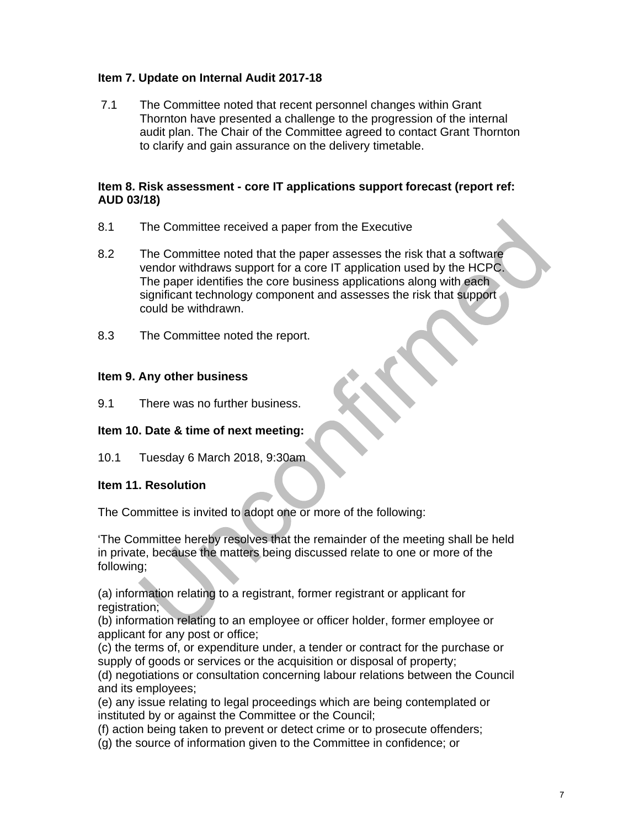### **Item 7. Update on Internal Audit 2017-18**

7.1 The Committee noted that recent personnel changes within Grant Thornton have presented a challenge to the progression of the internal audit plan. The Chair of the Committee agreed to contact Grant Thornton to clarify and gain assurance on the delivery timetable.

#### **Item 8. Risk assessment - core IT applications support forecast (report ref: AUD 03/18)**

- 8.1 The Committee received a paper from the Executive
- 8.2 The Committee noted that the paper assesses the risk that a software vendor withdraws support for a core IT application used by the HCPC. The paper identifies the core business applications along with each significant technology component and assesses the risk that support could be withdrawn.
- 8.3 The Committee noted the report.

#### **Item 9. Any other business**

9.1 There was no further business.

#### **Item 10. Date & time of next meeting:**

10.1 Tuesday 6 March 2018, 9:30am

#### **Item 11. Resolution**

The Committee is invited to adopt one or more of the following:

'The Committee hereby resolves that the remainder of the meeting shall be held in private, because the matters being discussed relate to one or more of the following;

(a) information relating to a registrant, former registrant or applicant for registration;

(b) information relating to an employee or officer holder, former employee or applicant for any post or office;

(c) the terms of, or expenditure under, a tender or contract for the purchase or supply of goods or services or the acquisition or disposal of property;

(d) negotiations or consultation concerning labour relations between the Council and its employees;

(e) any issue relating to legal proceedings which are being contemplated or instituted by or against the Committee or the Council;

(f) action being taken to prevent or detect crime or to prosecute offenders;

(g) the source of information given to the Committee in confidence; or